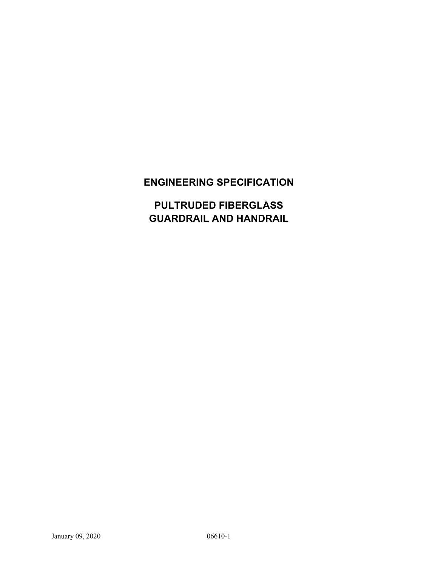# **ENGINEERING SPECIFICATION**

**PULTRUDED FIBERGLASS GUARDRAIL AND HANDRAIL**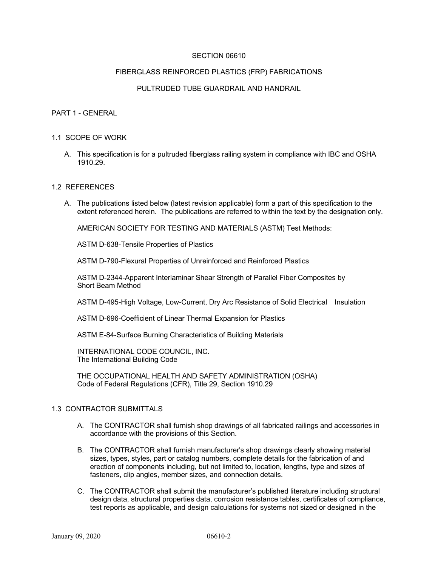### SECTION 06610

#### FIBERGLASS REINFORCED PLASTICS (FRP) FABRICATIONS

### PULTRUDED TUBE GUARDRAIL AND HANDRAIL

#### PART 1 - GENERAL

#### 1.1 SCOPE OF WORK

A. This specification is for a pultruded fiberglass railing system in compliance with IBC and OSHA 1910.29.

#### 1.2 REFERENCES

A. The publications listed below (latest revision applicable) form a part of this specification to the extent referenced herein. The publications are referred to within the text by the designation only.

AMERICAN SOCIETY FOR TESTING AND MATERIALS (ASTM) Test Methods:

ASTM D-638-Tensile Properties of Plastics

ASTM D-790-Flexural Properties of Unreinforced and Reinforced Plastics

ASTM D-2344-Apparent Interlaminar Shear Strength of Parallel Fiber Composites by Short Beam Method

ASTM D-495-High Voltage, Low-Current, Dry Arc Resistance of Solid Electrical Insulation

ASTM D-696-Coefficient of Linear Thermal Expansion for Plastics

ASTM E-84-Surface Burning Characteristics of Building Materials

INTERNATIONAL CODE COUNCIL, INC. The International Building Code

THE OCCUPATIONAL HEALTH AND SAFETY ADMINISTRATION (OSHA) Code of Federal Regulations (CFR), Title 29, Section 1910.29

### 1.3 CONTRACTOR SUBMITTALS

- A. The CONTRACTOR shall furnish shop drawings of all fabricated railings and accessories in accordance with the provisions of this Section.
- B. The CONTRACTOR shall furnish manufacturer's shop drawings clearly showing material sizes, types, styles, part or catalog numbers, complete details for the fabrication of and erection of components including, but not limited to, location, lengths, type and sizes of fasteners, clip angles, member sizes, and connection details.
- C. The CONTRACTOR shall submit the manufacturer's published literature including structural design data, structural properties data, corrosion resistance tables, certificates of compliance, test reports as applicable, and design calculations for systems not sized or designed in the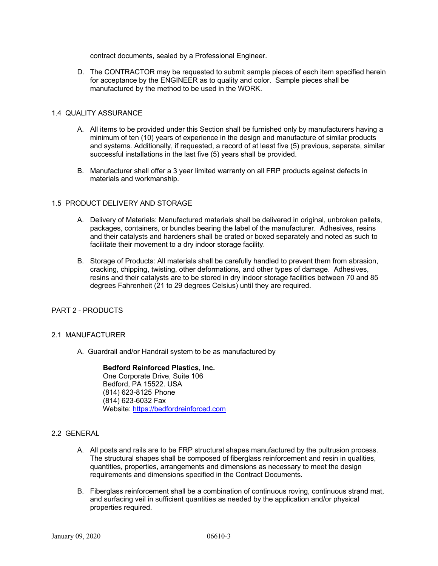contract documents, sealed by a Professional Engineer.

D. The CONTRACTOR may be requested to submit sample pieces of each item specified herein for acceptance by the ENGINEER as to quality and color. Sample pieces shall be manufactured by the method to be used in the WORK.

#### 1.4 QUALITY ASSURANCE

- A. All items to be provided under this Section shall be furnished only by manufacturers having a minimum of ten (10) years of experience in the design and manufacture of similar products and systems. Additionally, if requested, a record of at least five (5) previous, separate, similar successful installations in the last five (5) years shall be provided.
- B. Manufacturer shall offer a 3 year limited warranty on all FRP products against defects in materials and workmanship.

### 1.5 PRODUCT DELIVERY AND STORAGE

- A. Delivery of Materials: Manufactured materials shall be delivered in original, unbroken pallets, packages, containers, or bundles bearing the label of the manufacturer. Adhesives, resins and their catalysts and hardeners shall be crated or boxed separately and noted as such to facilitate their movement to a dry indoor storage facility.
- B. Storage of Products: All materials shall be carefully handled to prevent them from abrasion, cracking, chipping, twisting, other deformations, and other types of damage. Adhesives, resins and their catalysts are to be stored in dry indoor storage facilities between 70 and 85 degrees Fahrenheit (21 to 29 degrees Celsius) until they are required.

# PART 2 - PRODUCTS

#### 2.1 MANUFACTURER

A. Guardrail and/or Handrail system to be as manufactured by

**Bedford Reinforced Plastics, Inc.** One Corporate Drive, Suite 106 Bedford, PA 15522. USA (814) 623-8125 Phone (814) 623-6032 Fax Website: https://bedfordreinforced.com

#### 2.2 GENERAL

- A. All posts and rails are to be FRP structural shapes manufactured by the pultrusion process. The structural shapes shall be composed of fiberglass reinforcement and resin in qualities, quantities, properties, arrangements and dimensions as necessary to meet the design requirements and dimensions specified in the Contract Documents.
- B. Fiberglass reinforcement shall be a combination of continuous roving, continuous strand mat, and surfacing veil in sufficient quantities as needed by the application and/or physical properties required.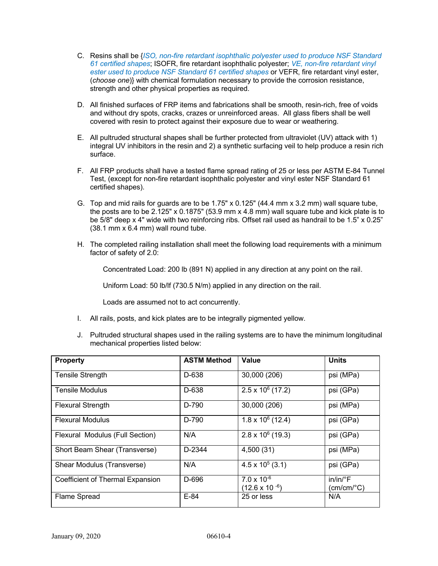- C. Resins shall be {*ISO, non-fire retardant isophthalic polyester used to produce NSF Standard 61 certified shapes*; ISOFR, fire retardant isophthalic polyester; *VE, non-fire retardant vinyl ester used to produce NSF Standard 61 certified shapes* or VEFR, fire retardant vinyl ester, (*choose one*)} with chemical formulation necessary to provide the corrosion resistance, strength and other physical properties as required.
- D. All finished surfaces of FRP items and fabrications shall be smooth, resin-rich, free of voids and without dry spots, cracks, crazes or unreinforced areas. All glass fibers shall be well covered with resin to protect against their exposure due to wear or weathering.
- E. All pultruded structural shapes shall be further protected from ultraviolet (UV) attack with 1) integral UV inhibitors in the resin and 2) a synthetic surfacing veil to help produce a resin rich surface.
- F. All FRP products shall have a tested flame spread rating of 25 or less per ASTM E-84 Tunnel Test, (except for non-fire retardant isophthalic polyester and vinyl ester NSF Standard 61 certified shapes).
- G. Top and mid rails for guards are to be  $1.75" \times 0.125"$  (44.4 mm  $\times$  3.2 mm) wall square tube, the posts are to be 2.125" x 0.1875" (53.9 mm x 4.8 mm) wall square tube and kick plate is to be 5/8" deep x 4" wide with two reinforcing ribs. Offset rail used as handrail to be 1.5" x 0.25" (38.1 mm x 6.4 mm) wall round tube.
- H. The completed railing installation shall meet the following load requirements with a minimum factor of safety of 2.0:

Concentrated Load: 200 lb (891 N) applied in any direction at any point on the rail.

Uniform Load: 50 lb/lf (730.5 N/m) applied in any direction on the rail.

Loads are assumed not to act concurrently.

- I. All rails, posts, and kick plates are to be integrally pigmented yellow.
- J. Pultruded structural shapes used in the railing systems are to have the minimum longitudinal mechanical properties listed below:

| <b>Property</b>                  | <b>ASTM Method</b> | Value                                           | <b>Units</b>                                      |
|----------------------------------|--------------------|-------------------------------------------------|---------------------------------------------------|
| <b>Tensile Strength</b>          | D-638              | 30,000 (206)                                    | psi (MPa)                                         |
| Tensile Modulus                  | D-638              | $2.5 \times 10^6$ (17.2)                        | psi (GPa)                                         |
| <b>Flexural Strength</b>         | D-790              | 30,000 (206)                                    | psi (MPa)                                         |
| <b>Flexural Modulus</b>          | D-790              | $1.8 \times 10^6$ (12.4)                        | psi (GPa)                                         |
| Flexural Modulus (Full Section)  | N/A                | $2.8 \times 10^6$ (19.3)                        | psi (GPa)                                         |
| Short Beam Shear (Transverse)    | D-2344             | 4,500 (31)                                      | psi (MPa)                                         |
| Shear Modulus (Transverse)       | N/A                | $4.5 \times 10^5$ (3.1)                         | psi (GPa)                                         |
| Coefficient of Thermal Expansion | D-696              | $7.0 \times 10^{-6}$<br>$(12.6 \times 10^{-6})$ | $in/in/{}^{\circ}F$<br>$(cm/cm$ <sup>o</sup> $C)$ |
| <b>Flame Spread</b>              | $E-84$             | 25 or less                                      | N/A                                               |